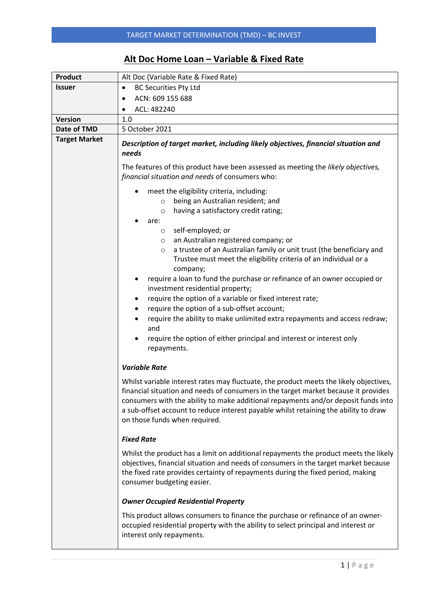## **Alt Doc Home Loan – Variable & Fixed Rate**

| <b>Product</b>       | Alt Doc (Variable Rate & Fixed Rate)                                                                                                                                                                                                                                                                                                                                                                                                                                                                                                                                                                                                                                                                                                                                                                   |  |  |  |  |  |
|----------------------|--------------------------------------------------------------------------------------------------------------------------------------------------------------------------------------------------------------------------------------------------------------------------------------------------------------------------------------------------------------------------------------------------------------------------------------------------------------------------------------------------------------------------------------------------------------------------------------------------------------------------------------------------------------------------------------------------------------------------------------------------------------------------------------------------------|--|--|--|--|--|
| <b>Issuer</b>        | <b>BC Securities Pty Ltd</b><br>$\bullet$                                                                                                                                                                                                                                                                                                                                                                                                                                                                                                                                                                                                                                                                                                                                                              |  |  |  |  |  |
|                      | ACN: 609 155 688<br>$\bullet$                                                                                                                                                                                                                                                                                                                                                                                                                                                                                                                                                                                                                                                                                                                                                                          |  |  |  |  |  |
|                      | ACL: 482240                                                                                                                                                                                                                                                                                                                                                                                                                                                                                                                                                                                                                                                                                                                                                                                            |  |  |  |  |  |
| <b>Version</b>       | 1.0                                                                                                                                                                                                                                                                                                                                                                                                                                                                                                                                                                                                                                                                                                                                                                                                    |  |  |  |  |  |
| Date of TMD          | 5 October 2021                                                                                                                                                                                                                                                                                                                                                                                                                                                                                                                                                                                                                                                                                                                                                                                         |  |  |  |  |  |
| <b>Target Market</b> | Description of target market, including likely objectives, financial situation and<br>needs                                                                                                                                                                                                                                                                                                                                                                                                                                                                                                                                                                                                                                                                                                            |  |  |  |  |  |
|                      | The features of this product have been assessed as meeting the likely objectives,<br>financial situation and needs of consumers who:                                                                                                                                                                                                                                                                                                                                                                                                                                                                                                                                                                                                                                                                   |  |  |  |  |  |
|                      | meet the eligibility criteria, including:<br>being an Australian resident; and<br>$\circ$<br>having a satisfactory credit rating;<br>$\circ$<br>are:<br>self-employed; or<br>$\circ$<br>an Australian registered company; or<br>$\circ$<br>a trustee of an Australian family or unit trust (the beneficiary and<br>$\circ$<br>Trustee must meet the eligibility criteria of an individual or a<br>company;<br>require a loan to fund the purchase or refinance of an owner occupied or<br>investment residential property;<br>require the option of a variable or fixed interest rate;<br>٠<br>require the option of a sub-offset account;<br>require the ability to make unlimited extra repayments and access redraw;<br>and<br>require the option of either principal and interest or interest only |  |  |  |  |  |
|                      | repayments.<br><b>Variable Rate</b>                                                                                                                                                                                                                                                                                                                                                                                                                                                                                                                                                                                                                                                                                                                                                                    |  |  |  |  |  |
|                      | Whilst variable interest rates may fluctuate, the product meets the likely objectives,<br>financial situation and needs of consumers in the target market because it provides<br>consumers with the ability to make additional repayments and/or deposit funds into<br>a sub-offset account to reduce interest payable whilst retaining the ability to draw<br>on those funds when required.                                                                                                                                                                                                                                                                                                                                                                                                           |  |  |  |  |  |
|                      | <b>Fixed Rate</b>                                                                                                                                                                                                                                                                                                                                                                                                                                                                                                                                                                                                                                                                                                                                                                                      |  |  |  |  |  |
|                      | Whilst the product has a limit on additional repayments the product meets the likely<br>objectives, financial situation and needs of consumers in the target market because<br>the fixed rate provides certainty of repayments during the fixed period, making<br>consumer budgeting easier.                                                                                                                                                                                                                                                                                                                                                                                                                                                                                                           |  |  |  |  |  |
|                      | <b>Owner Occupied Residential Property</b>                                                                                                                                                                                                                                                                                                                                                                                                                                                                                                                                                                                                                                                                                                                                                             |  |  |  |  |  |
|                      | This product allows consumers to finance the purchase or refinance of an owner-<br>occupied residential property with the ability to select principal and interest or<br>interest only repayments.                                                                                                                                                                                                                                                                                                                                                                                                                                                                                                                                                                                                     |  |  |  |  |  |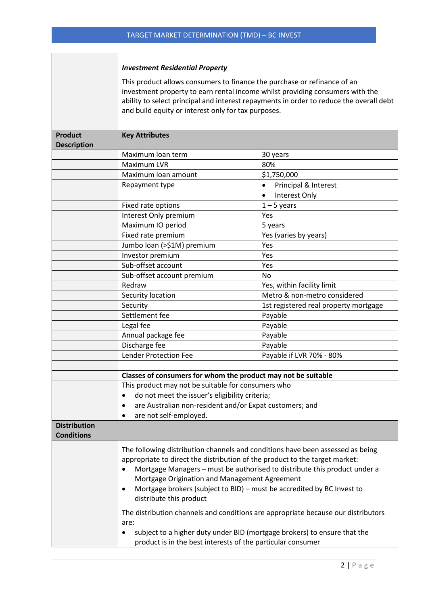r.

|                                          | <b>Investment Residential Property</b>                                                                                                                                                                                                                                                                                                                                                                                                                                                                                                                                                                                                                             |                                                                 |  |  |  |  |  |  |
|------------------------------------------|--------------------------------------------------------------------------------------------------------------------------------------------------------------------------------------------------------------------------------------------------------------------------------------------------------------------------------------------------------------------------------------------------------------------------------------------------------------------------------------------------------------------------------------------------------------------------------------------------------------------------------------------------------------------|-----------------------------------------------------------------|--|--|--|--|--|--|
|                                          | This product allows consumers to finance the purchase or refinance of an<br>investment property to earn rental income whilst providing consumers with the<br>ability to select principal and interest repayments in order to reduce the overall debt<br>and build equity or interest only for tax purposes.                                                                                                                                                                                                                                                                                                                                                        |                                                                 |  |  |  |  |  |  |
| <b>Product</b><br><b>Description</b>     | <b>Key Attributes</b>                                                                                                                                                                                                                                                                                                                                                                                                                                                                                                                                                                                                                                              |                                                                 |  |  |  |  |  |  |
|                                          | Maximum loan term                                                                                                                                                                                                                                                                                                                                                                                                                                                                                                                                                                                                                                                  | 30 years                                                        |  |  |  |  |  |  |
|                                          | Maximum LVR                                                                                                                                                                                                                                                                                                                                                                                                                                                                                                                                                                                                                                                        | 80%                                                             |  |  |  |  |  |  |
|                                          | Maximum loan amount                                                                                                                                                                                                                                                                                                                                                                                                                                                                                                                                                                                                                                                | \$1,750,000                                                     |  |  |  |  |  |  |
|                                          | Repayment type                                                                                                                                                                                                                                                                                                                                                                                                                                                                                                                                                                                                                                                     | Principal & Interest<br>$\bullet$<br>Interest Only<br>$\bullet$ |  |  |  |  |  |  |
|                                          | Fixed rate options                                                                                                                                                                                                                                                                                                                                                                                                                                                                                                                                                                                                                                                 | $1 - 5$ years                                                   |  |  |  |  |  |  |
|                                          | Interest Only premium                                                                                                                                                                                                                                                                                                                                                                                                                                                                                                                                                                                                                                              | Yes                                                             |  |  |  |  |  |  |
|                                          | Maximum IO period                                                                                                                                                                                                                                                                                                                                                                                                                                                                                                                                                                                                                                                  | 5 years                                                         |  |  |  |  |  |  |
|                                          | Fixed rate premium                                                                                                                                                                                                                                                                                                                                                                                                                                                                                                                                                                                                                                                 | Yes (varies by years)                                           |  |  |  |  |  |  |
|                                          | Jumbo loan (>\$1M) premium                                                                                                                                                                                                                                                                                                                                                                                                                                                                                                                                                                                                                                         | Yes                                                             |  |  |  |  |  |  |
|                                          | Investor premium                                                                                                                                                                                                                                                                                                                                                                                                                                                                                                                                                                                                                                                   | Yes                                                             |  |  |  |  |  |  |
|                                          | Sub-offset account                                                                                                                                                                                                                                                                                                                                                                                                                                                                                                                                                                                                                                                 | Yes                                                             |  |  |  |  |  |  |
|                                          | Sub-offset account premium                                                                                                                                                                                                                                                                                                                                                                                                                                                                                                                                                                                                                                         | No                                                              |  |  |  |  |  |  |
|                                          | Redraw                                                                                                                                                                                                                                                                                                                                                                                                                                                                                                                                                                                                                                                             | Yes, within facility limit                                      |  |  |  |  |  |  |
|                                          | Security location                                                                                                                                                                                                                                                                                                                                                                                                                                                                                                                                                                                                                                                  | Metro & non-metro considered                                    |  |  |  |  |  |  |
|                                          | Security                                                                                                                                                                                                                                                                                                                                                                                                                                                                                                                                                                                                                                                           | 1st registered real property mortgage                           |  |  |  |  |  |  |
|                                          | Settlement fee                                                                                                                                                                                                                                                                                                                                                                                                                                                                                                                                                                                                                                                     | Payable                                                         |  |  |  |  |  |  |
|                                          | Legal fee                                                                                                                                                                                                                                                                                                                                                                                                                                                                                                                                                                                                                                                          | Payable                                                         |  |  |  |  |  |  |
|                                          | Annual package fee                                                                                                                                                                                                                                                                                                                                                                                                                                                                                                                                                                                                                                                 | Payable                                                         |  |  |  |  |  |  |
|                                          | Discharge fee                                                                                                                                                                                                                                                                                                                                                                                                                                                                                                                                                                                                                                                      | Payable                                                         |  |  |  |  |  |  |
|                                          | <b>Lender Protection Fee</b>                                                                                                                                                                                                                                                                                                                                                                                                                                                                                                                                                                                                                                       | Payable if LVR 70% - 80%                                        |  |  |  |  |  |  |
|                                          |                                                                                                                                                                                                                                                                                                                                                                                                                                                                                                                                                                                                                                                                    |                                                                 |  |  |  |  |  |  |
|                                          | Classes of consumers for whom the product may not be suitable                                                                                                                                                                                                                                                                                                                                                                                                                                                                                                                                                                                                      |                                                                 |  |  |  |  |  |  |
|                                          | This product may not be suitable for consumers who                                                                                                                                                                                                                                                                                                                                                                                                                                                                                                                                                                                                                 |                                                                 |  |  |  |  |  |  |
|                                          |                                                                                                                                                                                                                                                                                                                                                                                                                                                                                                                                                                                                                                                                    | do not meet the issuer's eligibility criteria;                  |  |  |  |  |  |  |
|                                          | are Australian non-resident and/or Expat customers; and                                                                                                                                                                                                                                                                                                                                                                                                                                                                                                                                                                                                            |                                                                 |  |  |  |  |  |  |
| <b>Distribution</b><br><b>Conditions</b> | are not self-employed.<br>٠                                                                                                                                                                                                                                                                                                                                                                                                                                                                                                                                                                                                                                        |                                                                 |  |  |  |  |  |  |
|                                          | The following distribution channels and conditions have been assessed as being<br>appropriate to direct the distribution of the product to the target market:<br>Mortgage Managers - must be authorised to distribute this product under a<br>Mortgage Origination and Management Agreement<br>Mortgage brokers (subject to BID) - must be accredited by BC Invest to<br>$\bullet$<br>distribute this product<br>The distribution channels and conditions are appropriate because our distributors<br>are:<br>subject to a higher duty under BID (mortgage brokers) to ensure that the<br>$\bullet$<br>product is in the best interests of the particular consumer |                                                                 |  |  |  |  |  |  |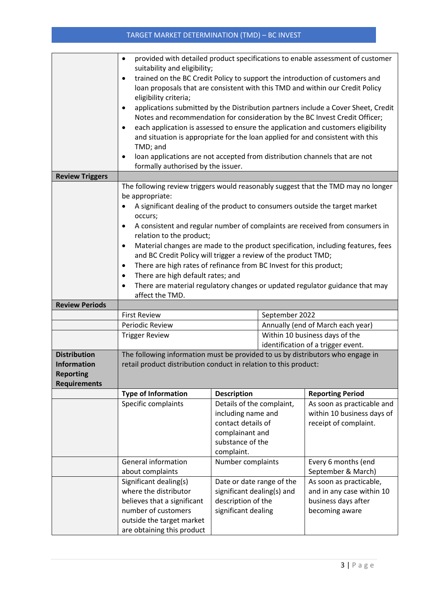## TARGET MARKET DETERMINATION (TMD) – BC INVEST

|                                                                                      | provided with detailed product specifications to enable assessment of customer<br>$\bullet$<br>suitability and eligibility;                                                                                                                                                                                                                                                                                                                                                                           |                                                                                                                            |                                                                      |                                                                                               |  |  |
|--------------------------------------------------------------------------------------|-------------------------------------------------------------------------------------------------------------------------------------------------------------------------------------------------------------------------------------------------------------------------------------------------------------------------------------------------------------------------------------------------------------------------------------------------------------------------------------------------------|----------------------------------------------------------------------------------------------------------------------------|----------------------------------------------------------------------|-----------------------------------------------------------------------------------------------|--|--|
|                                                                                      | trained on the BC Credit Policy to support the introduction of customers and<br>$\bullet$<br>loan proposals that are consistent with this TMD and within our Credit Policy<br>eligibility criteria;                                                                                                                                                                                                                                                                                                   |                                                                                                                            |                                                                      |                                                                                               |  |  |
|                                                                                      | applications submitted by the Distribution partners include a Cover Sheet, Credit<br>$\bullet$<br>Notes and recommendation for consideration by the BC Invest Credit Officer;<br>each application is assessed to ensure the application and customers eligibility<br>٠<br>and situation is appropriate for the loan applied for and consistent with this<br>TMD; and<br>loan applications are not accepted from distribution channels that are not<br>$\bullet$<br>formally authorised by the issuer. |                                                                                                                            |                                                                      |                                                                                               |  |  |
| <b>Review Triggers</b>                                                               |                                                                                                                                                                                                                                                                                                                                                                                                                                                                                                       |                                                                                                                            |                                                                      |                                                                                               |  |  |
|                                                                                      | The following review triggers would reasonably suggest that the TMD may no longer<br>be appropriate:<br>A significant dealing of the product to consumers outside the target market<br>$\bullet$                                                                                                                                                                                                                                                                                                      |                                                                                                                            |                                                                      |                                                                                               |  |  |
|                                                                                      | occurs;<br>A consistent and regular number of complaints are received from consumers in<br>$\bullet$<br>relation to the product;                                                                                                                                                                                                                                                                                                                                                                      |                                                                                                                            |                                                                      |                                                                                               |  |  |
|                                                                                      | Material changes are made to the product specification, including features, fees<br>$\bullet$<br>and BC Credit Policy will trigger a review of the product TMD;<br>There are high rates of refinance from BC Invest for this product;<br>٠                                                                                                                                                                                                                                                            |                                                                                                                            |                                                                      |                                                                                               |  |  |
|                                                                                      | There are high default rates; and<br>٠<br>There are material regulatory changes or updated regulator guidance that may<br>٠<br>affect the TMD.                                                                                                                                                                                                                                                                                                                                                        |                                                                                                                            |                                                                      |                                                                                               |  |  |
| <b>Review Periods</b>                                                                |                                                                                                                                                                                                                                                                                                                                                                                                                                                                                                       |                                                                                                                            |                                                                      |                                                                                               |  |  |
|                                                                                      | <b>First Review</b>                                                                                                                                                                                                                                                                                                                                                                                                                                                                                   |                                                                                                                            | September 2022                                                       |                                                                                               |  |  |
|                                                                                      | Periodic Review                                                                                                                                                                                                                                                                                                                                                                                                                                                                                       |                                                                                                                            | Annually (end of March each year)                                    |                                                                                               |  |  |
|                                                                                      | <b>Trigger Review</b>                                                                                                                                                                                                                                                                                                                                                                                                                                                                                 |                                                                                                                            | Within 10 business days of the<br>identification of a trigger event. |                                                                                               |  |  |
| <b>Distribution</b><br><b>Information</b><br><b>Reporting</b><br><b>Requirements</b> | The following information must be provided to us by distributors who engage in<br>retail product distribution conduct in relation to this product:                                                                                                                                                                                                                                                                                                                                                    |                                                                                                                            |                                                                      |                                                                                               |  |  |
|                                                                                      | <b>Type of Information</b>                                                                                                                                                                                                                                                                                                                                                                                                                                                                            | <b>Description</b>                                                                                                         |                                                                      | <b>Reporting Period</b>                                                                       |  |  |
|                                                                                      | Specific complaints                                                                                                                                                                                                                                                                                                                                                                                                                                                                                   | Details of the complaint,<br>including name and<br>contact details of<br>complainant and<br>substance of the<br>complaint. |                                                                      | As soon as practicable and<br>within 10 business days of<br>receipt of complaint.             |  |  |
|                                                                                      | <b>General information</b><br>about complaints                                                                                                                                                                                                                                                                                                                                                                                                                                                        | Number complaints                                                                                                          |                                                                      | Every 6 months (end<br>September & March)                                                     |  |  |
|                                                                                      | Significant dealing(s)<br>where the distributor<br>believes that a significant<br>number of customers<br>outside the target market<br>are obtaining this product                                                                                                                                                                                                                                                                                                                                      | Date or date range of the<br>significant dealing(s) and<br>description of the<br>significant dealing                       |                                                                      | As soon as practicable,<br>and in any case within 10<br>business days after<br>becoming aware |  |  |